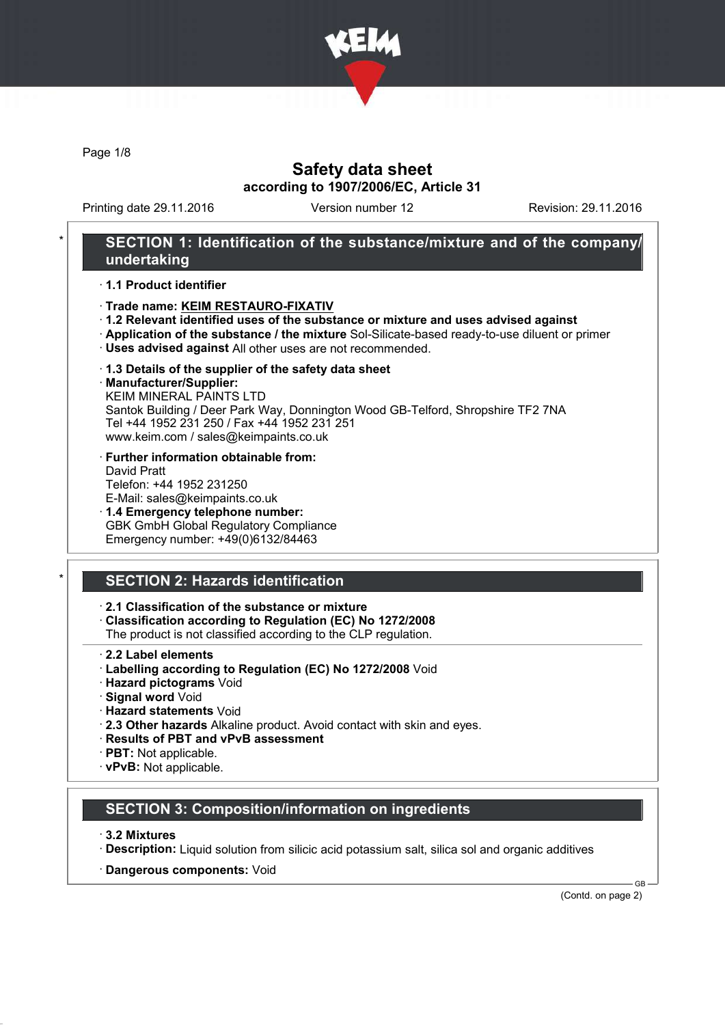

Page 1/8

### Safety data sheet according to 1907/2006/EC, Article 31

Printing date 29.11.2016 Version number 12 Revision: 29.11.2016

### SECTION 1: Identification of the substance/mixture and of the company/ undertaking

#### · 1.1 Product identifier

- · Trade name: KEIM RESTAURO-FIXATIV
- · 1.2 Relevant identified uses of the substance or mixture and uses advised against
- · Application of the substance / the mixture Sol-Silicate-based ready-to-use diluent or primer
- · Uses advised against All other uses are not recommended.
- · 1.3 Details of the supplier of the safety data sheet
- · Manufacturer/Supplier:

KEIM MINERAL PAINTS LTD Santok Building / Deer Park Way, Donnington Wood GB-Telford, Shropshire TF2 7NA Tel +44 1952 231 250 / Fax +44 1952 231 251 www.keim.com / sales@keimpaints.co.uk

- · Further information obtainable from: David Pratt Telefon: +44 1952 231250 E-Mail: sales@keimpaints.co.uk
- · 1.4 Emergency telephone number: GBK GmbH Global Regulatory Compliance Emergency number: +49(0)6132/84463

# SECTION 2: Hazards identification

· 2.1 Classification of the substance or mixture

- · Classification according to Regulation (EC) No 1272/2008
- The product is not classified according to the CLP regulation.
- · 2.2 Label elements
- · Labelling according to Regulation (EC) No 1272/2008 Void
- · Hazard pictograms Void
- · Signal word Void
- · Hazard statements Void
- · 2.3 Other hazards Alkaline product. Avoid contact with skin and eyes.
- · Results of PBT and vPvB assessment
- · PBT: Not applicable.
- · vPvB: Not applicable.

### SECTION 3: Composition/information on ingredients

#### · 3.2 Mixtures

- · Description: Liquid solution from silicic acid potassium salt, silica sol and organic additives
- · Dangerous components: Void

(Contd. on page 2)

C<sub>B</sub>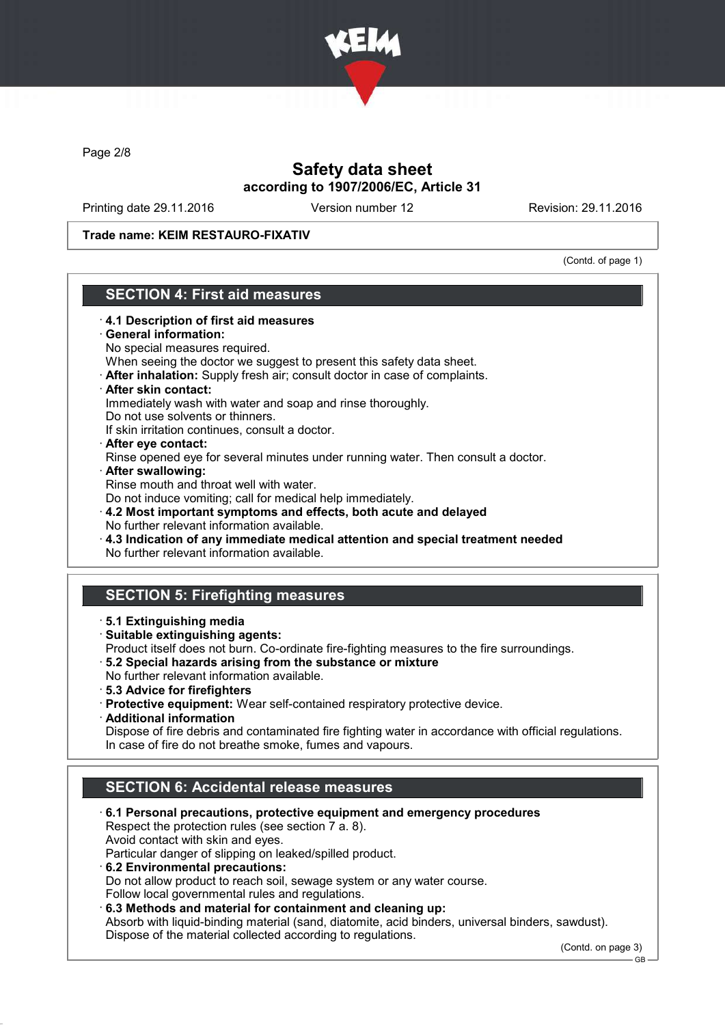

Page 2/8

## Safety data sheet according to 1907/2006/EC, Article 31

Printing date 29.11.2016 Version number 12 Revision: 29.11.2016

Trade name: KEIM RESTAURO-FIXATIV

(Contd. of page 1)

### SECTION 4: First aid measures

· 4.1 Description of first aid measures General information: No special measures required. When seeing the doctor we suggest to present this safety data sheet. · After inhalation: Supply fresh air; consult doctor in case of complaints. · After skin contact: Immediately wash with water and soap and rinse thoroughly. Do not use solvents or thinners. If skin irritation continues, consult a doctor. · After eye contact: Rinse opened eye for several minutes under running water. Then consult a doctor. · After swallowing: Rinse mouth and throat well with water. Do not induce vomiting; call for medical help immediately. · 4.2 Most important symptoms and effects, both acute and delayed No further relevant information available. · 4.3 Indication of any immediate medical attention and special treatment needed No further relevant information available. SECTION 5: Firefighting measures · 5.1 Extinguishing media · Suitable extinguishing agents: Product itself does not burn. Co-ordinate fire-fighting measures to the fire surroundings. · 5.2 Special hazards arising from the substance or mixture No further relevant information available. · 5.3 Advice for firefighters · Protective equipment: Wear self-contained respiratory protective device. · Additional information Dispose of fire debris and contaminated fire fighting water in accordance with official regulations. In case of fire do not breathe smoke, fumes and vapours. SECTION 6: Accidental release measures · 6.1 Personal precautions, protective equipment and emergency procedures Respect the protection rules (see section 7 a. 8). Avoid contact with skin and eyes. Particular danger of slipping on leaked/spilled product. · 6.2 Environmental precautions: Do not allow product to reach soil, sewage system or any water course. Follow local governmental rules and regulations. · 6.3 Methods and material for containment and cleaning up:

Absorb with liquid-binding material (sand, diatomite, acid binders, universal binders, sawdust). Dispose of the material collected according to regulations.

(Contd. on page 3)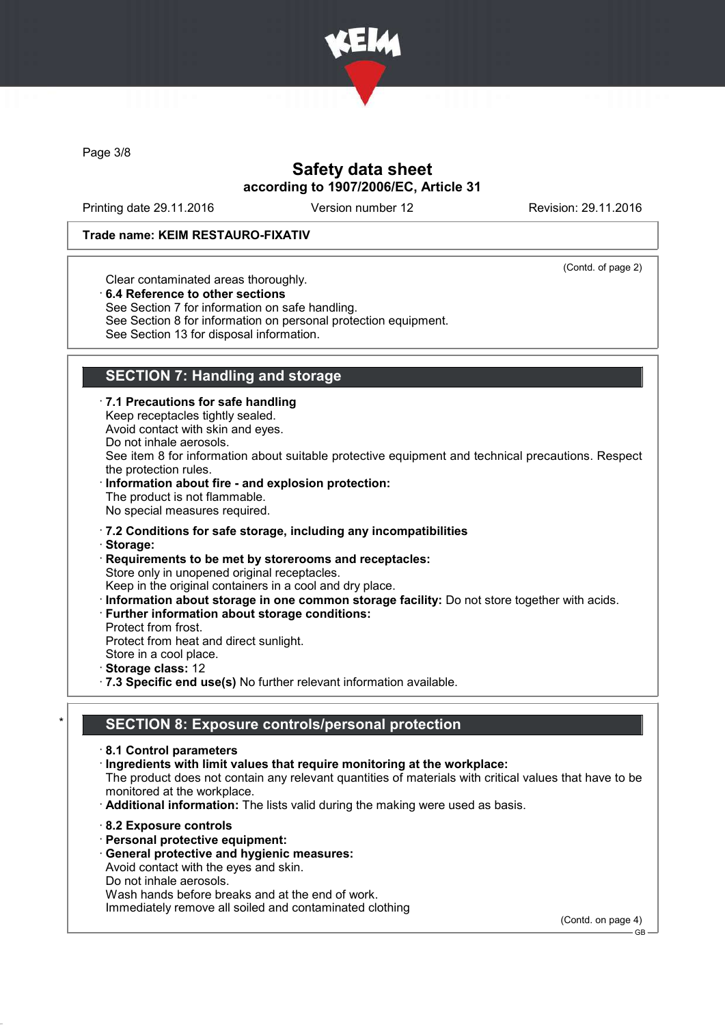

Page 3/8

## Safety data sheet according to 1907/2006/EC, Article 31

Printing date 29.11.2016 Version number 12 Revision: 29.11.2016

#### Trade name: KEIM RESTAURO-FIXATIV

(Contd. of page 2)

Clear contaminated areas thoroughly.

· 6.4 Reference to other sections

See Section 7 for information on safe handling.

See Section 8 for information on personal protection equipment.

See Section 13 for disposal information.

# SECTION 7: Handling and storage

· 7.1 Precautions for safe handling

Keep receptacles tightly sealed. Avoid contact with skin and eyes.

Do not inhale aerosols.

See item 8 for information about suitable protective equipment and technical precautions. Respect the protection rules.

Information about fire - and explosion protection: The product is not flammable. No special measures required.

· 7.2 Conditions for safe storage, including any incompatibilities

· Storage:

· Requirements to be met by storerooms and receptacles: Store only in unopened original receptacles.

Keep in the original containers in a cool and dry place.

· Information about storage in one common storage facility: Do not store together with acids.

· Further information about storage conditions:

Protect from frost.

Protect from heat and direct sunlight.

Store in a cool place. Storage class: 12

· 7.3 Specific end use(s) No further relevant information available.

## SECTION 8: Exposure controls/personal protection

· 8.1 Control parameters

· Ingredients with limit values that require monitoring at the workplace:

The product does not contain any relevant quantities of materials with critical values that have to be monitored at the workplace.

· Additional information: The lists valid during the making were used as basis.

- · 8.2 Exposure controls
- · Personal protective equipment:

· General protective and hygienic measures:

Avoid contact with the eyes and skin.

Do not inhale aerosols.

Wash hands before breaks and at the end of work.

Immediately remove all soiled and contaminated clothing

(Contd. on page 4)

GB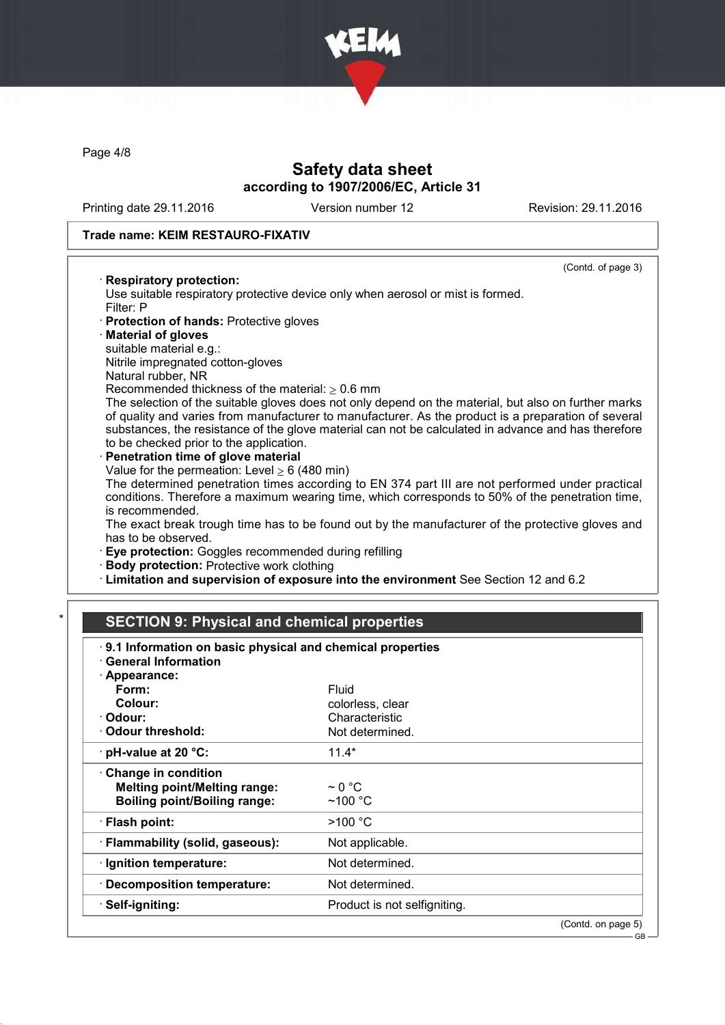

Page 4/8

## Safety data sheet according to 1907/2006/EC, Article 31

Printing date 29.11.2016 Version number 12 Revision: 29.11.2016

(Contd. of page 3)

GB

#### Trade name: KEIM RESTAURO-FIXATIV

#### · Respiratory protection:

Use suitable respiratory protective device only when aerosol or mist is formed. Filter: P

- · Protection of hands: Protective gloves
- · Material of gloves
- suitable material e.g.:
- Nitrile impregnated cotton-gloves
- Natural rubber, NR

Recommended thickness of the material:  $> 0.6$  mm

The selection of the suitable gloves does not only depend on the material, but also on further marks of quality and varies from manufacturer to manufacturer. As the product is a preparation of several substances, the resistance of the glove material can not be calculated in advance and has therefore to be checked prior to the application.

Penetration time of glove material Value for the permeation: Level  $\geq 6$  (480 min)

The determined penetration times according to EN 374 part III are not performed under practical conditions. Therefore a maximum wearing time, which corresponds to 50% of the penetration time, is recommended.

The exact break trough time has to be found out by the manufacturer of the protective gloves and has to be observed.

- · Eye protection: Goggles recommended during refilling
- · Body protection: Protective work clothing
- · Limitation and supervision of exposure into the environment See Section 12 and 6.2

# **SECTION 9: Physical and chemical properties**

| 9.1 Information on basic physical and chemical properties<br>· General Information                       |                                       |                    |
|----------------------------------------------------------------------------------------------------------|---------------------------------------|--------------------|
| · Appearance:                                                                                            |                                       |                    |
| Form:                                                                                                    | Fluid                                 |                    |
| Colour:                                                                                                  | colorless, clear                      |                    |
| · Odour:                                                                                                 | Characteristic                        |                    |
| Odour threshold:                                                                                         | Not determined.                       |                    |
| $\cdot$ pH-value at 20 °C:                                                                               | $11.4*$                               |                    |
| <b>Change in condition</b><br><b>Melting point/Melting range:</b><br><b>Boiling point/Boiling range:</b> | $\sim$ 0 °C<br>$~100~{\rm ^{\circ}C}$ |                    |
| $\cdot$ Flash point:                                                                                     | >100 °C                               |                    |
| · Flammability (solid, gaseous):                                                                         | Not applicable.                       |                    |
| · Ignition temperature:                                                                                  | Not determined.                       |                    |
| · Decomposition temperature:                                                                             | Not determined.                       |                    |
| · Self-igniting:                                                                                         | Product is not selfigniting.          |                    |
|                                                                                                          |                                       | (Contd. on page 5) |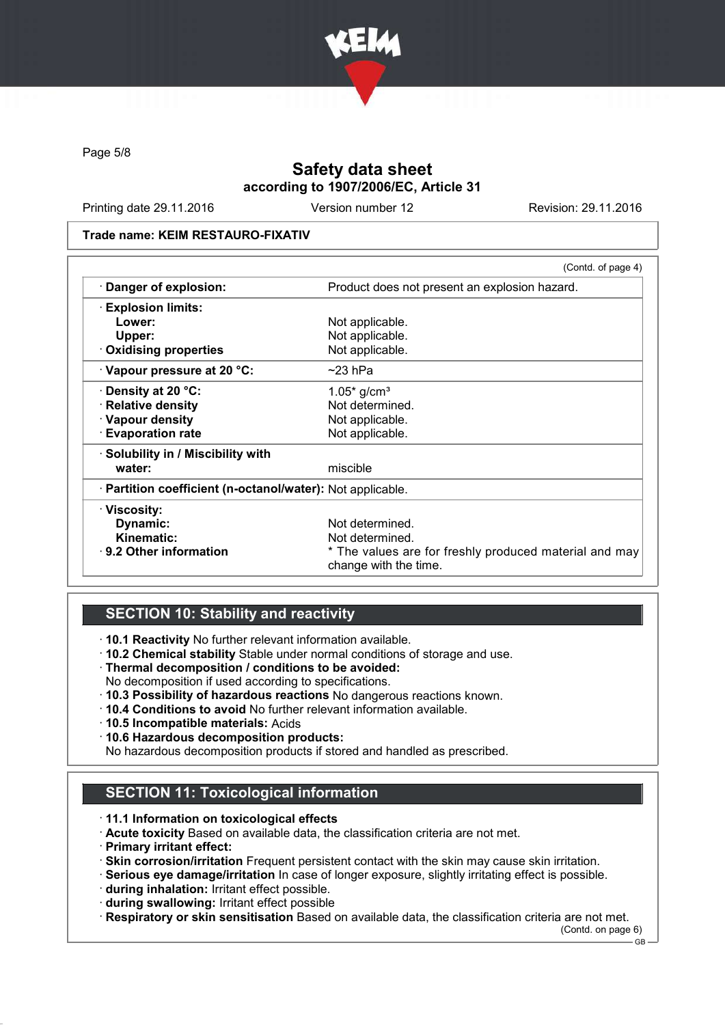

Page 5/8

## Safety data sheet according to 1907/2006/EC, Article 31

Printing date 29.11.2016 Version number 12 Revision: 29.11.2016

#### Trade name: KEIM RESTAURO-FIXATIV

|                                                            | (Contd. of page 4)                                                              |  |
|------------------------------------------------------------|---------------------------------------------------------------------------------|--|
| · Danger of explosion:                                     | Product does not present an explosion hazard.                                   |  |
| $\cdot$ Explosion limits:                                  |                                                                                 |  |
| Lower:                                                     | Not applicable.                                                                 |  |
| Upper:                                                     | Not applicable.                                                                 |  |
| . Oxidising properties                                     | Not applicable.                                                                 |  |
| Vapour pressure at 20 °C:                                  | $\sim$ 23 hPa                                                                   |  |
| $\cdot$ Density at 20 °C:                                  | $1.05*$ g/cm <sup>3</sup>                                                       |  |
| · Relative density                                         | Not determined.                                                                 |  |
| · Vapour density                                           | Not applicable.                                                                 |  |
| <b>Evaporation rate</b>                                    | Not applicable.                                                                 |  |
| · Solubility in / Miscibility with                         |                                                                                 |  |
| water:                                                     | miscible                                                                        |  |
| · Partition coefficient (n-octanol/water): Not applicable. |                                                                                 |  |
| · Viscosity:                                               |                                                                                 |  |
| Dynamic:                                                   | Not determined.                                                                 |  |
| Kinematic:                                                 | Not determined.                                                                 |  |
| $\cdot$ 9.2 Other information                              | * The values are for freshly produced material and may<br>change with the time. |  |

### SECTION 10: Stability and reactivity

· 10.1 Reactivity No further relevant information available.

- · 10.2 Chemical stability Stable under normal conditions of storage and use.
- · Thermal decomposition / conditions to be avoided:
- No decomposition if used according to specifications.
- · 10.3 Possibility of hazardous reactions No dangerous reactions known.
- · 10.4 Conditions to avoid No further relevant information available.
- · 10.5 Incompatible materials: Acids
- · 10.6 Hazardous decomposition products:

No hazardous decomposition products if stored and handled as prescribed.

# SECTION 11: Toxicological information

- · 11.1 Information on toxicological effects
- · Acute toxicity Based on available data, the classification criteria are not met.
- · Primary irritant effect:
- · Skin corrosion/irritation Frequent persistent contact with the skin may cause skin irritation.
- · Serious eye damage/irritation In case of longer exposure, slightly irritating effect is possible.
- · during inhalation: Irritant effect possible.
- · during swallowing: Irritant effect possible
- · Respiratory or skin sensitisation Based on available data, the classification criteria are not met.

(Contd. on page 6)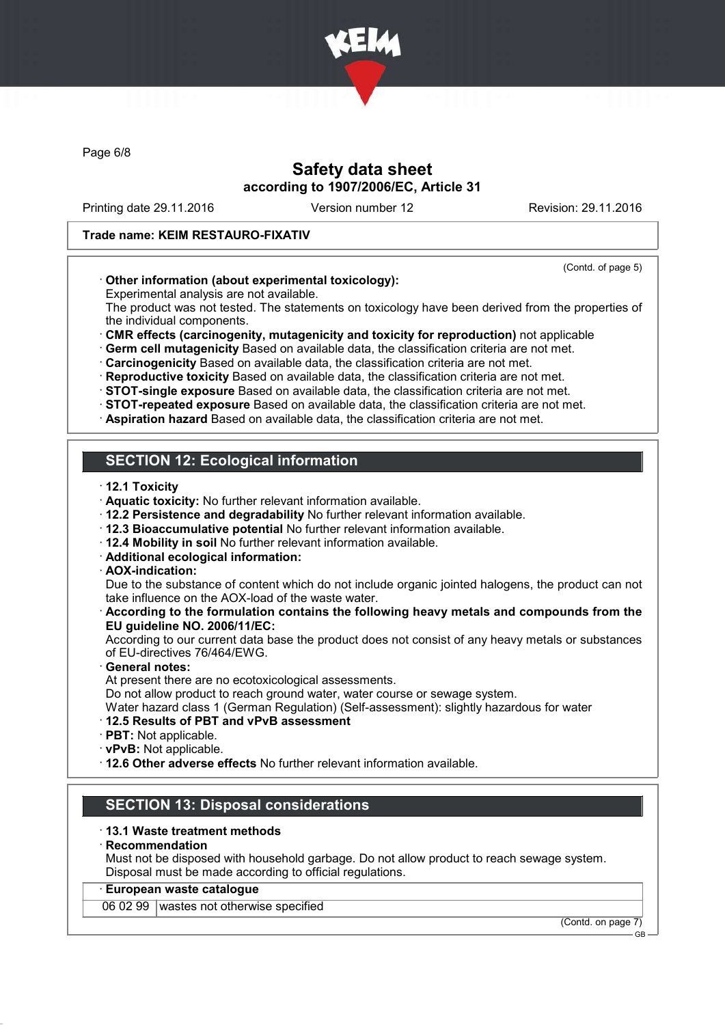

Page 6/8

### Safety data sheet according to 1907/2006/EC, Article 31

Printing date 29.11.2016 Version number 12 Revision: 29.11.2016

#### Trade name: KEIM RESTAURO-FIXATIV

#### (Contd. of page 5)

### · Other information (about experimental toxicology):

Experimental analysis are not available.

The product was not tested. The statements on toxicology have been derived from the properties of the individual components.

· CMR effects (carcinogenity, mutagenicity and toxicity for reproduction) not applicable

· Germ cell mutagenicity Based on available data, the classification criteria are not met.

· Carcinogenicity Based on available data, the classification criteria are not met.

· Reproductive toxicity Based on available data, the classification criteria are not met.

· STOT-single exposure Based on available data, the classification criteria are not met.

· STOT-repeated exposure Based on available data, the classification criteria are not met.

· Aspiration hazard Based on available data, the classification criteria are not met.

## SECTION 12: Ecological information

· 12.1 Toxicity

- · Aquatic toxicity: No further relevant information available.
- · 12.2 Persistence and degradability No further relevant information available.
- · 12.3 Bioaccumulative potential No further relevant information available.
- · 12.4 Mobility in soil No further relevant information available.
- · Additional ecological information:
- · AOX-indication:

Due to the substance of content which do not include organic jointed halogens, the product can not take influence on the AOX-load of the waste water.

#### · According to the formulation contains the following heavy metals and compounds from the EU guideline NO. 2006/11/EC:

According to our current data base the product does not consist of any heavy metals or substances of EU-directives 76/464/EWG.

General notes:

At present there are no ecotoxicological assessments.

Do not allow product to reach ground water, water course or sewage system.

Water hazard class 1 (German Regulation) (Self-assessment): slightly hazardous for water

#### · 12.5 Results of PBT and vPvB assessment

- · PBT: Not applicable.
- · vPvB: Not applicable.

· 12.6 Other adverse effects No further relevant information available.

## SECTION 13: Disposal considerations

#### · 13.1 Waste treatment methods

#### · Recommendation

Must not be disposed with household garbage. Do not allow product to reach sewage system. Disposal must be made according to official regulations.

#### · European waste catalogue

06 02 99 wastes not otherwise specified

(Contd. on page 7) GB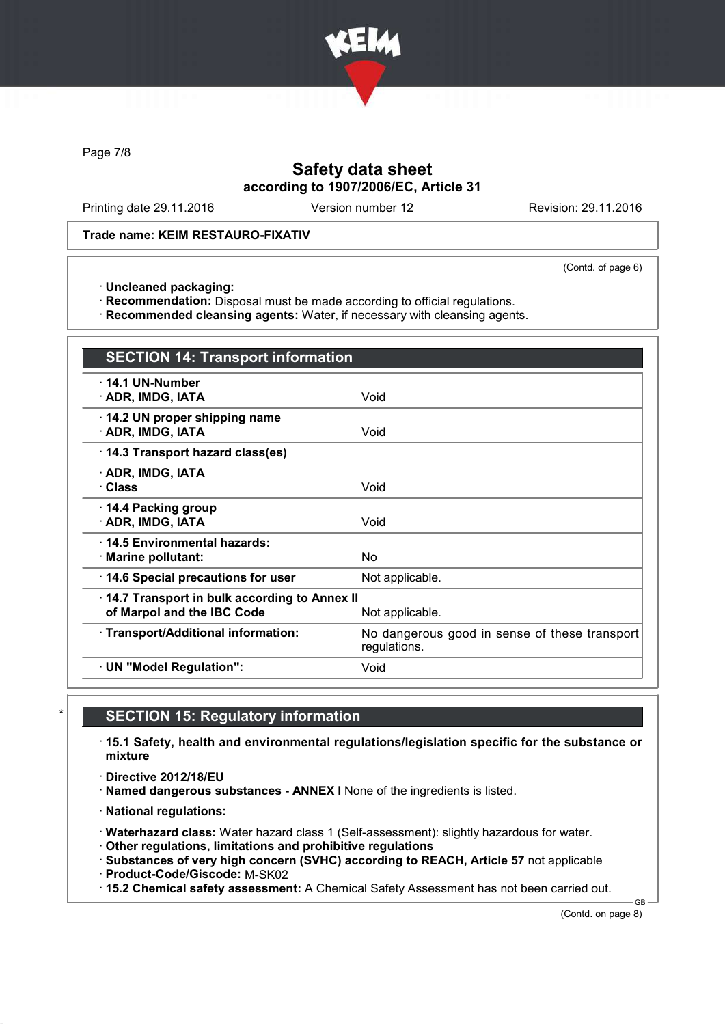

Page 7/8

# Safety data sheet according to 1907/2006/EC, Article 31

Printing date 29.11.2016 Version number 12 Revision: 29.11.2016

#### Trade name: KEIM RESTAURO-FIXATIV

(Contd. of page 6)

· Uncleaned packaging:

· Recommendation: Disposal must be made according to official regulations.

· Recommended cleansing agents: Water, if necessary with cleansing agents.

| <b>SECTION 14: Transport information</b>                                                      |                                                               |  |
|-----------------------------------------------------------------------------------------------|---------------------------------------------------------------|--|
| $\cdot$ 14.1 UN-Number<br>· ADR, IMDG, IATA                                                   | Void                                                          |  |
| 14.2 UN proper shipping name<br>· ADR, IMDG, IATA                                             | Void                                                          |  |
| 14.3 Transport hazard class(es)                                                               |                                                               |  |
| · ADR, IMDG, IATA<br>· Class                                                                  | Void                                                          |  |
| ⋅ 14.4 Packing group<br>· ADR, IMDG, IATA                                                     | Void                                                          |  |
| 14.5 Environmental hazards:<br>· Marine pollutant:                                            | No                                                            |  |
| 14.6 Special precautions for user                                                             | Not applicable.                                               |  |
| 14.7 Transport in bulk according to Annex II<br>of Marpol and the IBC Code<br>Not applicable. |                                                               |  |
| · Transport/Additional information:                                                           | No dangerous good in sense of these transport<br>regulations. |  |
| · UN "Model Regulation":                                                                      | Void                                                          |  |

### **SECTION 15: Regulatory information**

· 15.1 Safety, health and environmental regulations/legislation specific for the substance or mixture

· Directive 2012/18/EU

· Named dangerous substances - ANNEX I None of the ingredients is listed.

· National regulations:

· Waterhazard class: Water hazard class 1 (Self-assessment): slightly hazardous for water.

· Other regulations, limitations and prohibitive regulations

· Substances of very high concern (SVHC) according to REACH, Article 57 not applicable

· Product-Code/Giscode: M-SK02

· 15.2 Chemical safety assessment: A Chemical Safety Assessment has not been carried out.

(Contd. on page 8)

GB